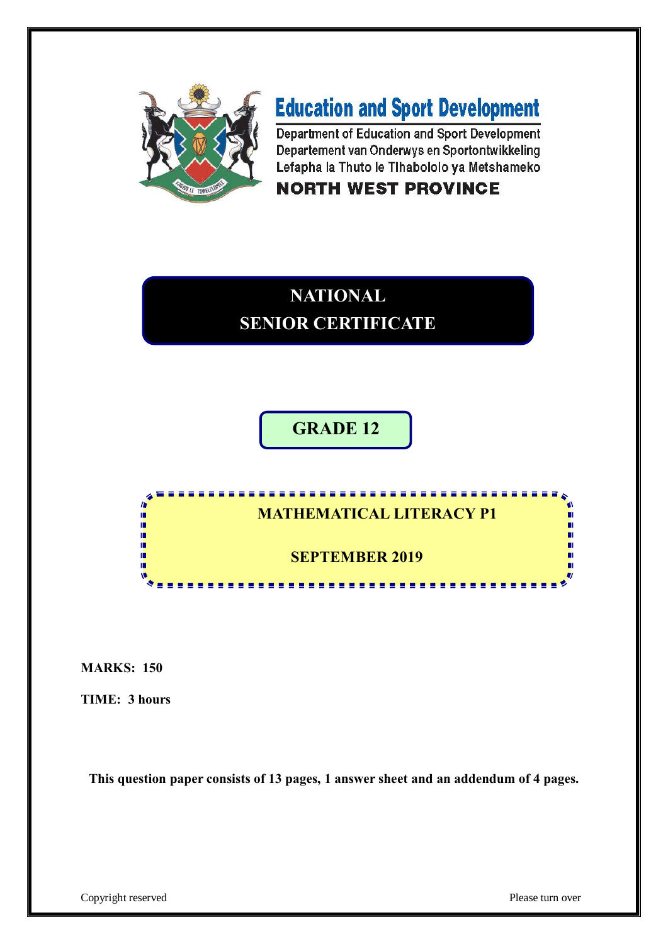

# **Education and Sport Development**

Department of Education and Sport Development Departement van Onderwys en Sportontwikkeling Lefapha la Thuto le Tlhabololo ya Metshameko

# **NORTH WEST PROVINCE**

# **NATIONAL SENIOR CERTIFICATE**

**GRADE 12**



**MARKS: 150**

**TIME: 3 hours** 

**This question paper consists of 13 pages, 1 answer sheet and an addendum of 4 pages.**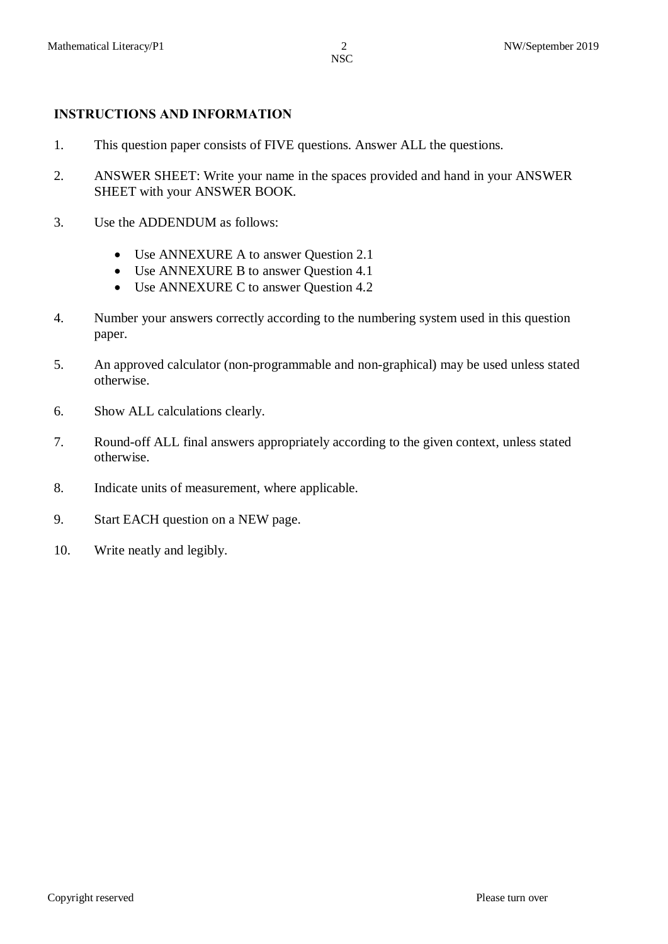# **INSTRUCTIONS AND INFORMATION**

- 1. This question paper consists of FIVE questions. Answer ALL the questions.
- 2. ANSWER SHEET: Write your name in the spaces provided and hand in your ANSWER SHEET with your ANSWER BOOK.
- 3. Use the ADDENDUM as follows:
	- Use ANNEXURE A to answer Question 2.1
	- · Use ANNEXURE B to answer Question 4.1
	- Use ANNEXURE C to answer Question 4.2
- 4. Number your answers correctly according to the numbering system used in this question paper.
- 5. An approved calculator (non-programmable and non-graphical) may be used unless stated otherwise.
- 6. Show ALL calculations clearly.
- 7. Round-off ALL final answers appropriately according to the given context, unless stated otherwise.
- 8. Indicate units of measurement, where applicable.
- 9. Start EACH question on a NEW page.
- 10. Write neatly and legibly.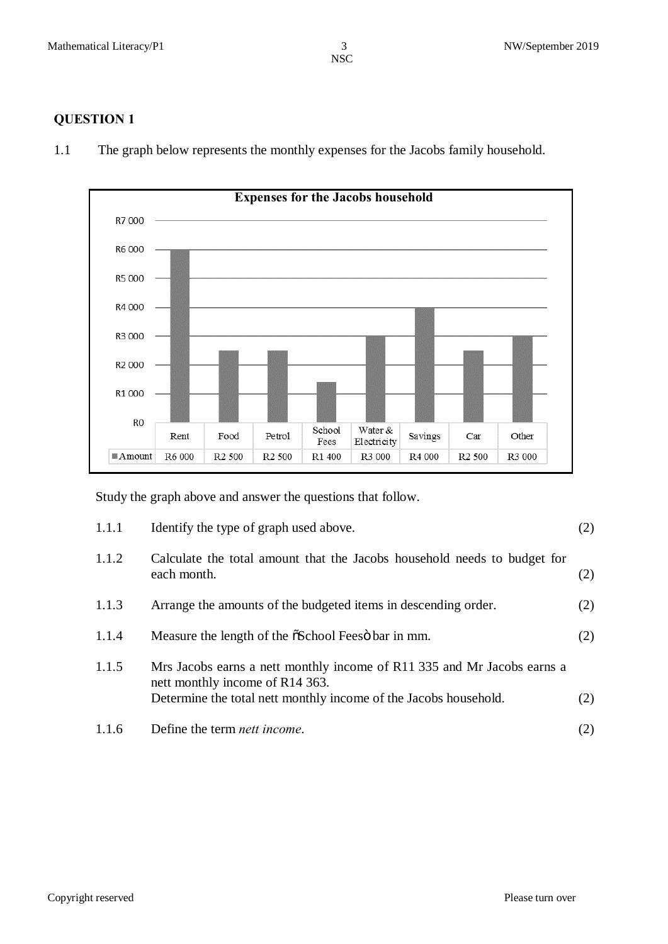# **QUESTION 1**



1.1 The graph below represents the monthly expenses for the Jacobs family household.

Study the graph above and answer the questions that follow.

| 1.1.1 | Identify the type of graph used above.                                                                                                                                         | (2) |
|-------|--------------------------------------------------------------------------------------------------------------------------------------------------------------------------------|-----|
| 1.1.2 | Calculate the total amount that the Jacobs household needs to budget for<br>each month.                                                                                        | (2) |
| 1.1.3 | Arrange the amounts of the budgeted items in descending order.                                                                                                                 | (2) |
| 1.1.4 | Measure the length of the $\delta$ School Feeso bar in mm.                                                                                                                     | (2) |
| 1.1.5 | Mrs Jacobs earns a nett monthly income of R11 335 and Mr Jacobs earns a<br>nett monthly income of R14 363.<br>Determine the total nett monthly income of the Jacobs household. | (2) |
| 1.1.6 | Define the term <i>nett income</i> .                                                                                                                                           | (2) |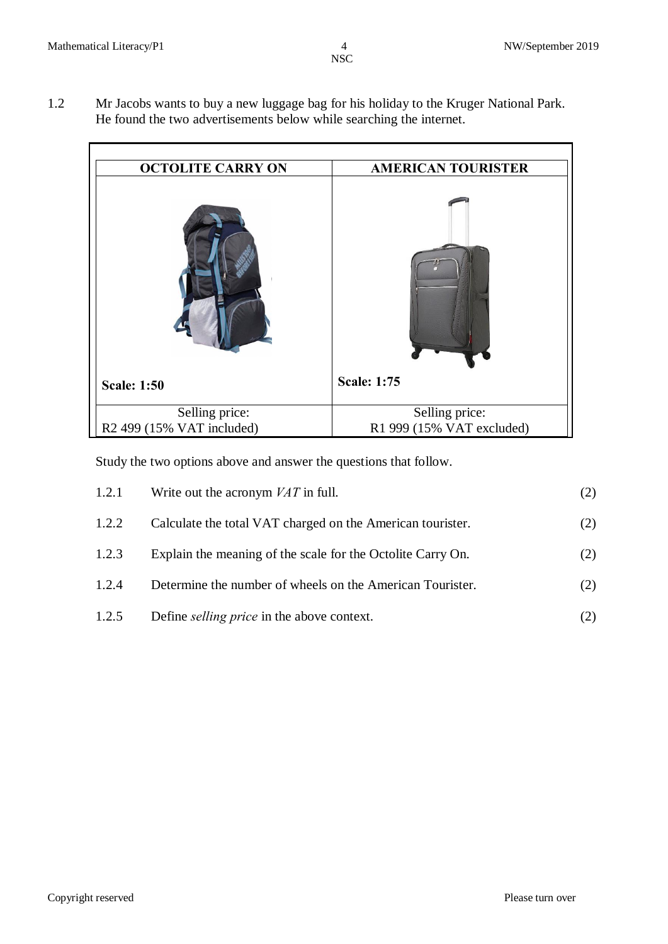1.2 Mr Jacobs wants to buy a new luggage bag for his holiday to the Kruger National Park. He found the two advertisements below while searching the internet.

| <b>OCTOLITE CARRY ON</b>              | <b>AMERICAN TOURISTER</b> |
|---------------------------------------|---------------------------|
|                                       |                           |
| <b>Scale: 1:50</b>                    | <b>Scale: 1:75</b>        |
| Selling price:                        | Selling price:            |
| R <sub>2</sub> 499 (15% VAT included) | R1 999 (15% VAT excluded) |

Study the two options above and answer the questions that follow.

| 1.2.1 | Write out the acronym $VAT$ in full.                        | (2) |
|-------|-------------------------------------------------------------|-----|
| 1.2.2 | Calculate the total VAT charged on the American tourister.  | (2) |
| 1.2.3 | Explain the meaning of the scale for the Octolite Carry On. | (2) |
| 1.2.4 | Determine the number of wheels on the American Tourister.   | (2) |
| 1.2.5 | Define <i>selling price</i> in the above context.           | (2) |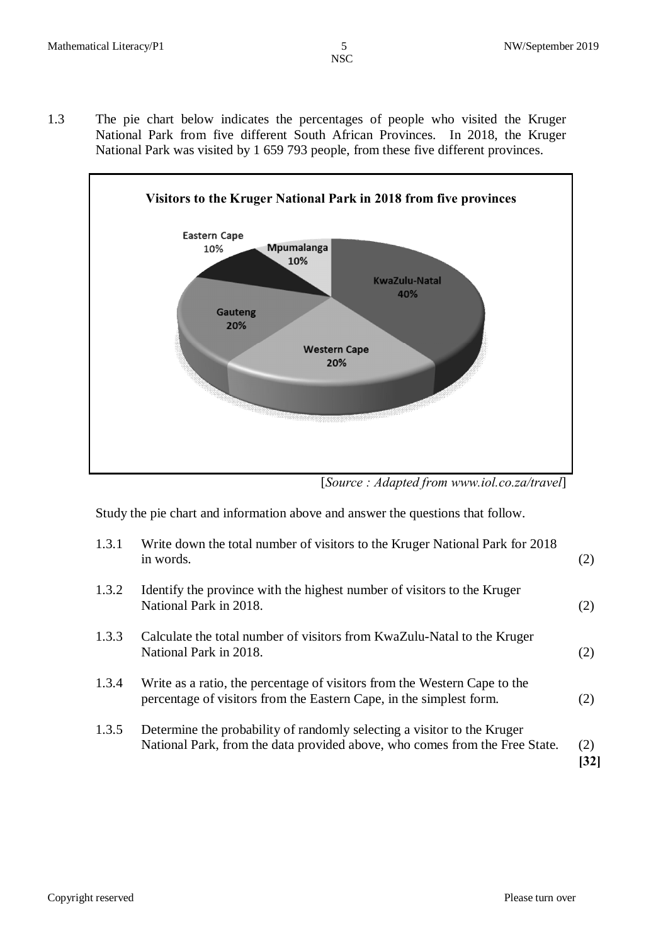1.3 The pie chart below indicates the percentages of people who visited the Kruger National Park from five different South African Provinces. In 2018, the Kruger National Park was visited by 1 659 793 people, from these five different provinces.



[*Source : Adapted from www.iol.co.za/travel*]

Study the pie chart and information above and answer the questions that follow.

| 1.3.1 | Write down the total number of visitors to the Kruger National Park for 2018<br>in words.                                                              | (2)                      |
|-------|--------------------------------------------------------------------------------------------------------------------------------------------------------|--------------------------|
| 1.3.2 | Identify the province with the highest number of visitors to the Kruger<br>National Park in 2018.                                                      | (2)                      |
| 1.3.3 | Calculate the total number of visitors from KwaZulu-Natal to the Kruger<br>National Park in 2018.                                                      | (2)                      |
| 1.3.4 | Write as a ratio, the percentage of visitors from the Western Cape to the<br>percentage of visitors from the Eastern Cape, in the simplest form.       | (2)                      |
| 1.3.5 | Determine the probability of randomly selecting a visitor to the Kruger<br>National Park, from the data provided above, who comes from the Free State. | (2)<br>$\left 32\right $ |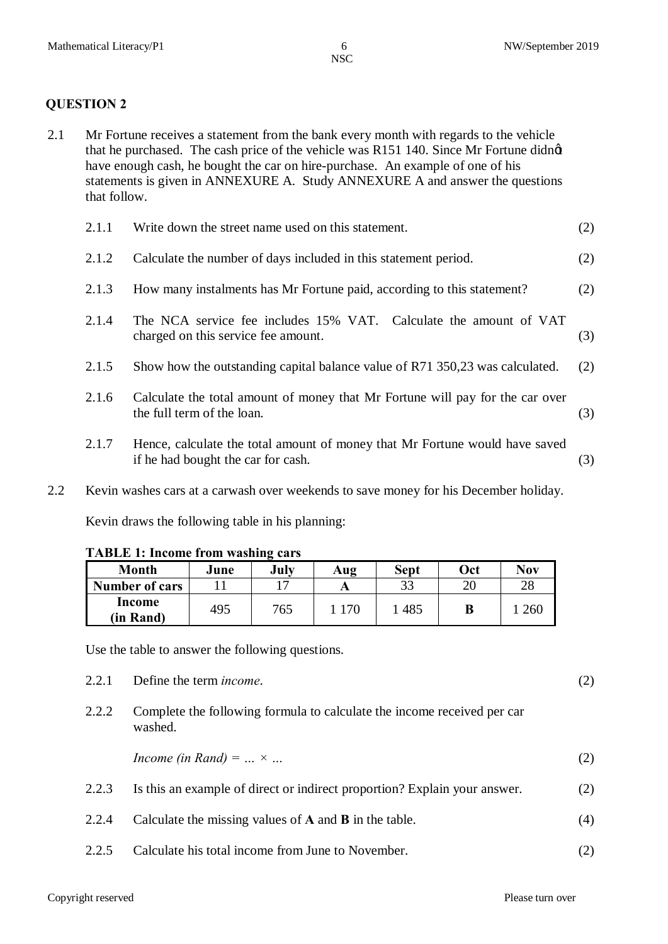#### **QUESTION 2**

2.1 Mr Fortune receives a statement from the bank every month with regards to the vehicle that he purchased. The cash price of the vehicle was R151 140. Since Mr Fortune didnet have enough cash, he bought the car on hire-purchase. An example of one of his statements is given in ANNEXURE A. Study ANNEXURE A and answer the questions that follow.

| 2.1.1 | Write down the street name used on this statement.                                                                | (2) |
|-------|-------------------------------------------------------------------------------------------------------------------|-----|
| 2.1.2 | Calculate the number of days included in this statement period.                                                   | (2) |
| 2.1.3 | How many instalments has Mr Fortune paid, according to this statement?                                            | (2) |
| 2.1.4 | The NCA service fee includes 15% VAT. Calculate the amount of VAT<br>charged on this service fee amount.          | (3) |
| 2.1.5 | Show how the outstanding capital balance value of R71 350,23 was calculated.                                      | (2) |
| 2.1.6 | Calculate the total amount of money that Mr Fortune will pay for the car over<br>the full term of the loan.       | (3) |
| 2.1.7 | Hence, calculate the total amount of money that Mr Fortune would have saved<br>if he had bought the car for cash. | (3) |

2.2 Kevin washes cars at a carwash over weekends to save money for his December holiday. Kevin draws the following table in his planning:

| <b>TABLE 1: Income from washing cars</b> |      |      |                                    |             |    |
|------------------------------------------|------|------|------------------------------------|-------------|----|
| <b>Month</b>                             | June | July | $\mathbf{A} \mathbf{u} \mathbf{g}$ | <b>Sept</b> | Oc |
|                                          |      |      |                                    |             |    |

| Month                 | June | July | Aug | <b>Sept</b> | 0ct | <b>Nov</b> |
|-----------------------|------|------|-----|-------------|-----|------------|
| <b>Number of cars</b> |      |      |     | っっ          | ററ  | 28         |
| Income                | 495  | 765  | 170 | 485         |     | 260        |
| (in Rand)             |      |      |     |             | D   |            |

Use the table to answer the following questions.

2.2.1 Define the term *income*. (2)

2.2.2 Complete the following formula to calculate the income received per car washed.

*Income (in Rand)* =  $... \times ...$  (2)

| 2.2.3 | Is this an example of direct or indirect proportion? Explain your answer. | (2) |
|-------|---------------------------------------------------------------------------|-----|
| 2.2.4 | Calculate the missing values of $A$ and $B$ in the table.                 | (4) |

2.2.5 Calculate his total income from June to November. (2)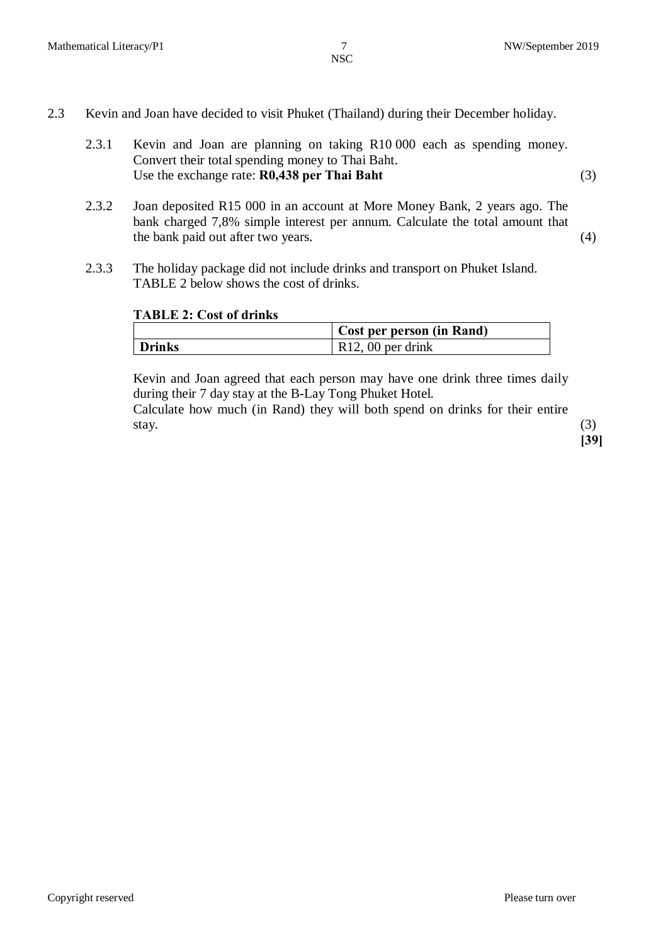- 2.3 Kevin and Joan have decided to visit Phuket (Thailand) during their December holiday.
	- 2.3.1 Kevin and Joan are planning on taking R10 000 each as spending money. Convert their total spending money to Thai Baht. Use the exchange rate: **R0,438 per Thai Baht** (3)
	- 2.3.2 Joan deposited R15 000 in an account at More Money Bank, 2 years ago. The bank charged 7,8% simple interest per annum. Calculate the total amount that the bank paid out after two years. (4)
	- 2.3.3 The holiday package did not include drinks and transport on Phuket Island. TABLE 2 below shows the cost of drinks.

#### **TABLE 2: Cost of drinks**

|               | Cost per person (in Rand) |
|---------------|---------------------------|
| <b>Drinks</b> | $\vert$ R12, 00 per drink |

Kevin and Joan agreed that each person may have one drink three times daily during their 7 day stay at the B-Lay Tong Phuket Hotel. Calculate how much (in Rand) they will both spend on drinks for their entire stay.  $(3)$ 

**[39]**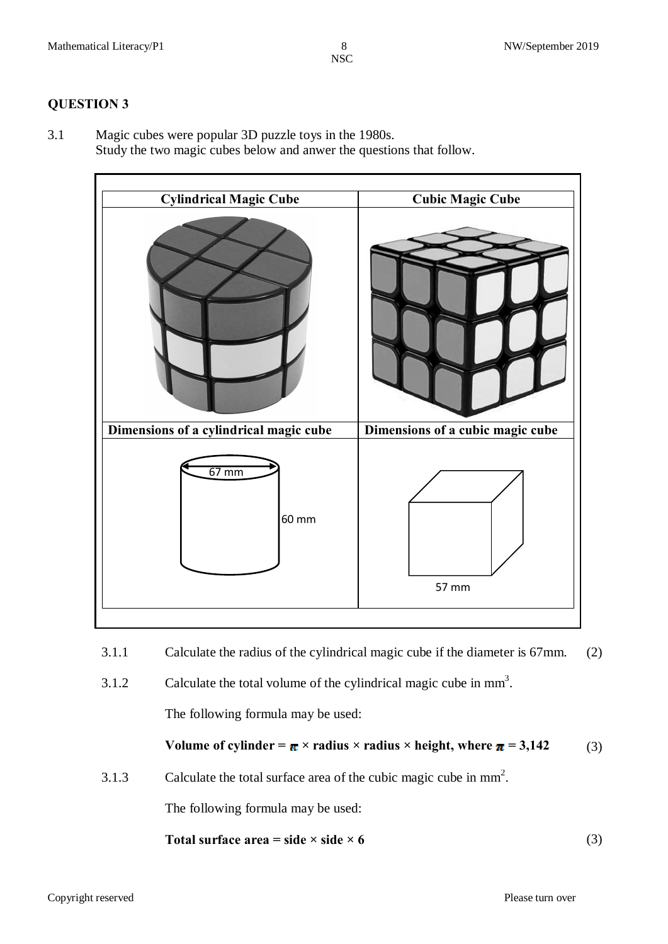## **QUESTION 3**

3.1 Magic cubes were popular 3D puzzle toys in the 1980s. Study the two magic cubes below and anwer the questions that follow.



- 3.1.1 Calculate the radius of the cylindrical magic cube if the diameter is 67mm. (2)
- 3.1.2 Calculate the total volume of the cylindrical magic cube in  $mm<sup>3</sup>$ .

The following formula may be used:

Volume of cylinder = 
$$
\pi \times
$$
 radius × radius × height, where  $\pi = 3,142$  (3)

3.1.3 Calculate the total surface area of the cubic magic cube in  $mm<sup>2</sup>$ .

The following formula may be used:

**Total surface area = side × side × 6** (3)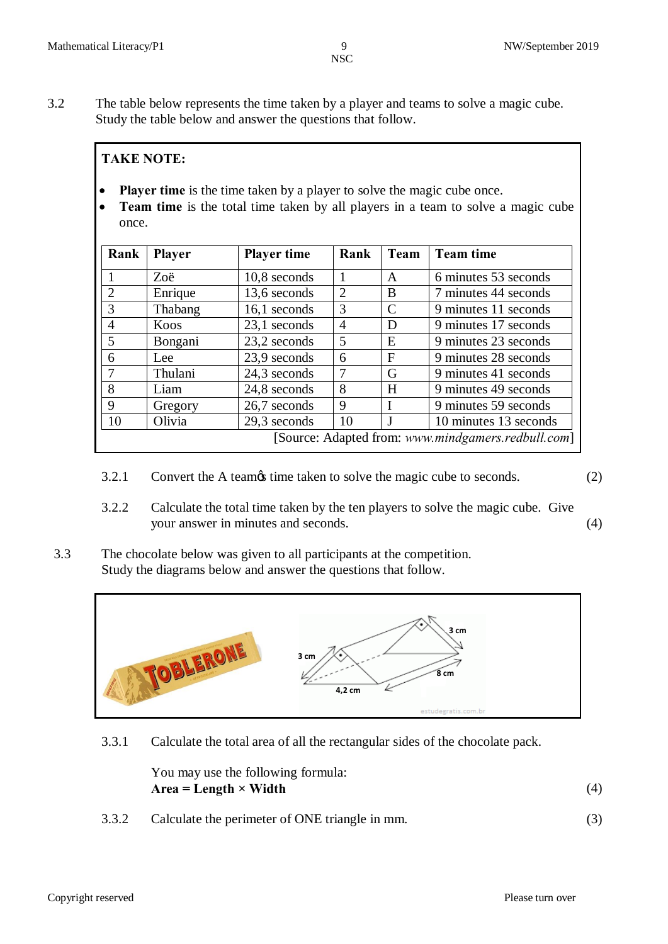3.2 The table below represents the time taken by a player and teams to solve a magic cube. Study the table below and answer the questions that follow.

# **TAKE NOTE:**

- **Player time** is the time taken by a player to solve the magic cube once.
- · **Team time** is the total time taken by all players in a team to solve a magic cube once.

| Rank                                               | <b>Player</b> | <b>Player time</b> | Rank           | Team                        | <b>Team time</b>      |
|----------------------------------------------------|---------------|--------------------|----------------|-----------------------------|-----------------------|
|                                                    | Zoë           | 10,8 seconds       |                | A                           | 6 minutes 53 seconds  |
| 2                                                  | Enrique       | 13,6 seconds       | $\overline{2}$ | <sub>B</sub>                | 7 minutes 44 seconds  |
| 3                                                  | Thabang       | 16,1 seconds       | 3              | $\mathcal{C}_{\mathcal{C}}$ | 9 minutes 11 seconds  |
| $\overline{4}$                                     | Koos          | 23,1 seconds       | $\overline{4}$ | D                           | 9 minutes 17 seconds  |
| 5                                                  | Bongani       | 23,2 seconds       | 5              | E                           | 9 minutes 23 seconds  |
| 6                                                  | Lee           | 23,9 seconds       | 6              | F                           | 9 minutes 28 seconds  |
|                                                    | Thulani       | 24,3 seconds       | 7              | G                           | 9 minutes 41 seconds  |
| 8                                                  | Liam          | 24,8 seconds       | 8              | H                           | 9 minutes 49 seconds  |
| 9                                                  | Gregory       | 26,7 seconds       | 9              | I                           | 9 minutes 59 seconds  |
| 10                                                 | Olivia        | 29,3 seconds       | 10             | J                           | 10 minutes 13 seconds |
| [Source: Adapted from: www.mindgamers.redbull.com] |               |                    |                |                             |                       |

- 3.2.1 Convert the A teamos time taken to solve the magic cube to seconds. (2)
- 3.2.2 Calculate the total time taken by the ten players to solve the magic cube. Give your answer in minutes and seconds. (4)
- 3.3 The chocolate below was given to all participants at the competition. Study the diagrams below and answer the questions that follow.



3.3.1 Calculate the total area of all the rectangular sides of the chocolate pack.

| You may use the following formula: |  |
|------------------------------------|--|
| $Area = Length \times Width$       |  |

3.3.2 Calculate the perimeter of ONE triangle in mm. (3)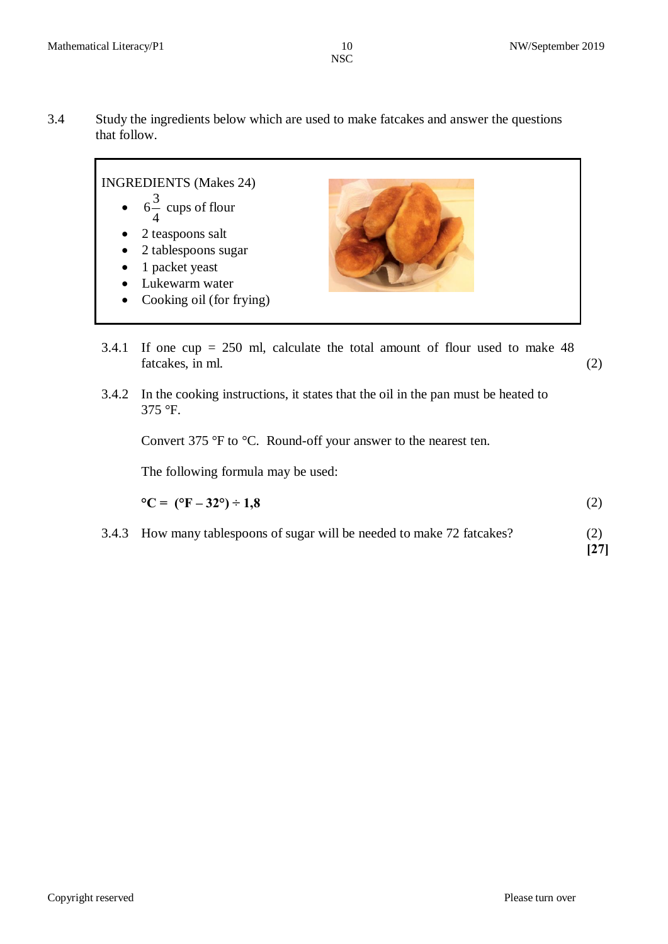3.4 Study the ingredients below which are used to make fatcakes and answer the questions that follow.



- 3.4.1 If one cup = 250 ml, calculate the total amount of flour used to make 48 fatcakes, in ml. (2)
- 3.4.2 In the cooking instructions, it states that the oil in the pan must be heated to 375 °F.

Convert 375 °F to °C. Round-off your answer to the nearest ten.

The following formula may be used:

$$
{}^{\circ}C = ({}^{\circ}F - 32^{\circ}) \div 1,8 \tag{2}
$$

3.4.3 How many tablespoons of sugar will be needed to make 72 fatcakes? (2) **[27]**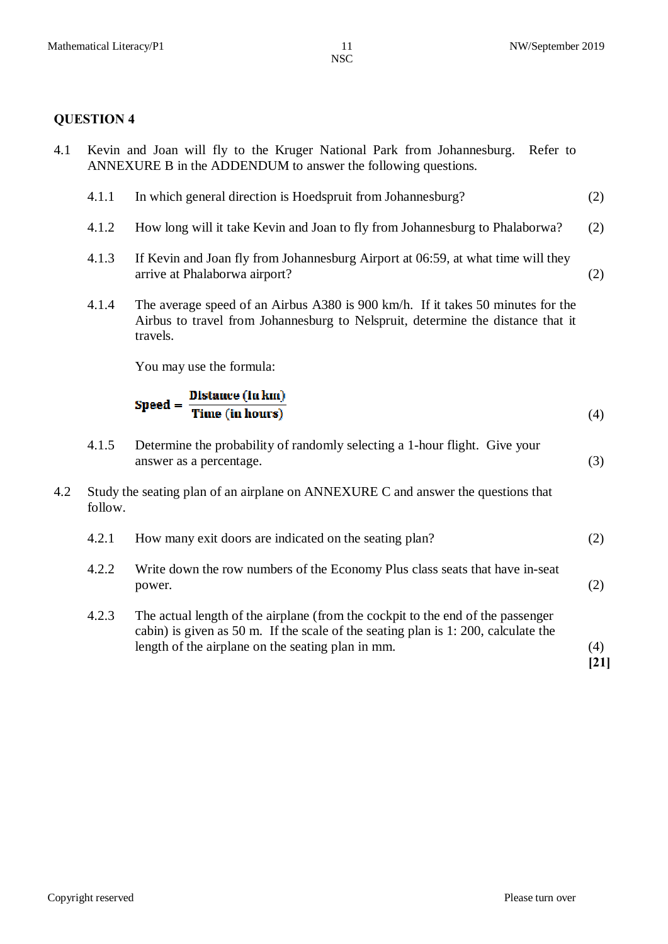# **QUESTION 4**

| Kevin and Joan will fly to the Kruger National Park from Johannesburg.<br>4.1<br>Refer to<br>ANNEXURE B in the ADDENDUM to answer the following questions. |         |                                                                                                                                                                                                                           |             |
|------------------------------------------------------------------------------------------------------------------------------------------------------------|---------|---------------------------------------------------------------------------------------------------------------------------------------------------------------------------------------------------------------------------|-------------|
|                                                                                                                                                            | 4.1.1   | In which general direction is Hoedspruit from Johannesburg?                                                                                                                                                               | (2)         |
|                                                                                                                                                            | 4.1.2   | How long will it take Kevin and Joan to fly from Johannesburg to Phalaborwa?                                                                                                                                              | (2)         |
|                                                                                                                                                            | 4.1.3   | If Kevin and Joan fly from Johannesburg Airport at 06:59, at what time will they<br>arrive at Phalaborwa airport?                                                                                                         | (2)         |
|                                                                                                                                                            | 4.1.4   | The average speed of an Airbus A380 is 900 km/h. If it takes 50 minutes for the<br>Airbus to travel from Johannesburg to Nelspruit, determine the distance that it<br>travels.                                            |             |
|                                                                                                                                                            |         | You may use the formula:                                                                                                                                                                                                  |             |
|                                                                                                                                                            |         | $\text{Speed} = \frac{\text{Distance (in km)}}{\text{Time (in hours)}}$                                                                                                                                                   | (4)         |
|                                                                                                                                                            | 4.1.5   | Determine the probability of randomly selecting a 1-hour flight. Give your<br>answer as a percentage.                                                                                                                     | (3)         |
| 4.2                                                                                                                                                        | follow. | Study the seating plan of an airplane on ANNEXURE C and answer the questions that                                                                                                                                         |             |
|                                                                                                                                                            | 4.2.1   | How many exit doors are indicated on the seating plan?                                                                                                                                                                    | (2)         |
|                                                                                                                                                            | 4.2.2   | Write down the row numbers of the Economy Plus class seats that have in-seat<br>power.                                                                                                                                    | (2)         |
|                                                                                                                                                            | 4.2.3   | The actual length of the airplane (from the cockpit to the end of the passenger<br>cabin) is given as 50 m. If the scale of the seating plan is 1:200, calculate the<br>length of the airplane on the seating plan in mm. | (4)<br>[21] |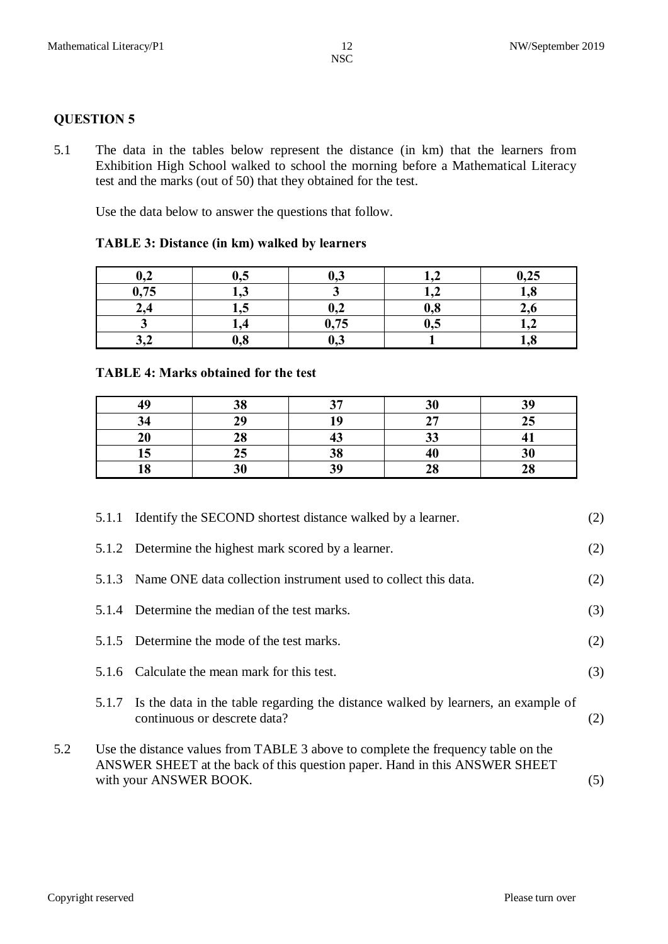## **QUESTION 5**

5.1 The data in the tables below represent the distance (in km) that the learners from Exhibition High School walked to school the morning before a Mathematical Literacy test and the marks (out of 50) that they obtained for the test.

Use the data below to answer the questions that follow.

#### **TABLE 3: Distance (in km) walked by learners**

| ሰ ኅ<br>$\mathbf{v},\mathbf{v}$ | 0,5    | ∪າ⊽  |     | 0,25 |
|--------------------------------|--------|------|-----|------|
| 0,75                           | — مو ⊥ |      |     | 1,8  |
| ∠.⊣                            | 49J    | ∪,∠  | 0,8 | 2,0  |
|                                |        | 0,75 | U.S | Le∠  |
| ∡•ب                            | 0,8    | U,J  |     | 1,8  |

#### **TABLE 4: Marks obtained for the test**

| 40       | 38 | 27                             | ኃሰ<br>JU  | 39 |
|----------|----|--------------------------------|-----------|----|
| 34       | 29 | 1 Л                            | 27<br>,,, | 25 |
| 20       | 28 | $\overline{\phantom{a}}$<br>πυ | 33        |    |
| 15       | 25 | 38                             | 4U        | 30 |
| 10<br>LΟ | 30 | 30                             | 28        | 28 |

|     | 5.1.1 | Identify the SECOND shortest distance walked by a learner.                                                                                                                                | (2) |
|-----|-------|-------------------------------------------------------------------------------------------------------------------------------------------------------------------------------------------|-----|
|     |       | 5.1.2 Determine the highest mark scored by a learner.                                                                                                                                     | (2) |
|     | 5.1.3 | Name ONE data collection instrument used to collect this data.                                                                                                                            | (2) |
|     | 5.1.4 | Determine the median of the test marks.                                                                                                                                                   | (3) |
|     | 5.1.5 | Determine the mode of the test marks.                                                                                                                                                     | (2) |
|     | 5.1.6 | Calculate the mean mark for this test.                                                                                                                                                    | (3) |
|     | 5.1.7 | Is the data in the table regarding the distance walked by learners, an example of<br>continuous or descrete data?                                                                         | (2) |
| 5.2 |       | Use the distance values from TABLE 3 above to complete the frequency table on the<br>ANSWER SHEET at the back of this question paper. Hand in this ANSWER SHEET<br>with your ANSWER BOOK. | (5) |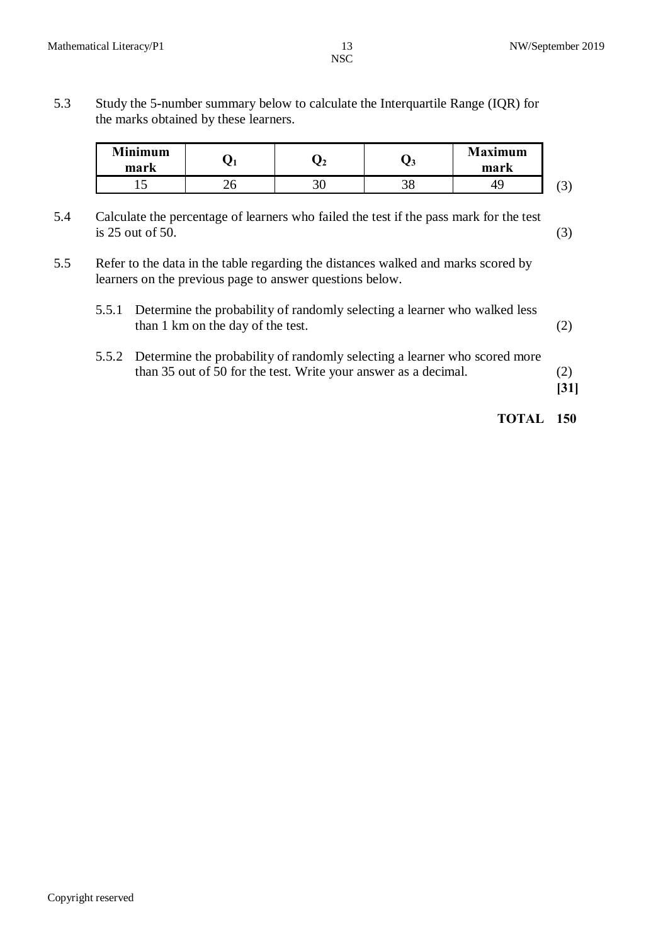5.3 Study the 5-number summary below to calculate the Interquartile Range (IQR) for the marks obtained by these learners.

| Minimum<br>mark |  | <b>Maximum</b><br>mark |             |
|-----------------|--|------------------------|-------------|
| ∸               |  |                        | $\sim$<br>ັ |

- 5.4 Calculate the percentage of learners who failed the test if the pass mark for the test  $is 25 out of 50.$  (3)
- 5.5 Refer to the data in the table regarding the distances walked and marks scored by learners on the previous page to answer questions below.

| 5.5.1 Determine the probability of randomly selecting a learner who walked less |  |
|---------------------------------------------------------------------------------|--|
| than 1 km on the day of the test.                                               |  |

5.5.2 Determine the probability of randomly selecting a learner who scored more than 35 out of 50 for the test. Write your answer as a decimal. (2)

**[31]**

# **TOTAL 150**